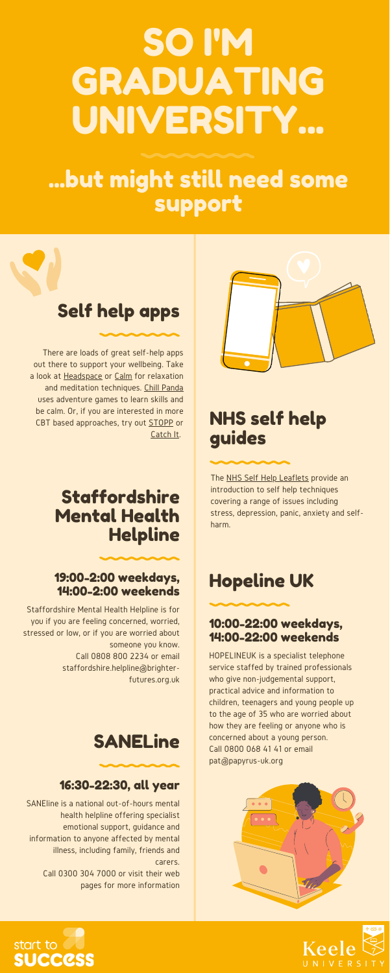# SO I'M GRADUATING UNIVERSITY...

## Hopeline UK

#### 10:00-22:00 weekdays, 14:00-22:00 weekends

HOPELINEUK is a specialist telephone service staffed by trained professionals who give non-judgemental support, practical advice and information to children, teenagers and young people up to the age of 35 who are worried about how they are feeling or anyone who is concerned about a young person. Call 0800 068 41 41 or email pat@papyrus-uk.org







## SANELine



### 16:30-22:30, all year

SANEline is a national out-of-hours mental health helpline offering specialist emotional support, guidance and information to anyone affected by mental illness, including family, friends and carers.

> Call 0300 304 7000 or visit their web pages for more information

## ...but might still need some support

There are loads of great self-help apps out there to support your wellbeing. Take a look at [Headspace](https://www.headspace.com/) or [Calm](https://www.calm.com/) for relaxation and meditation techniques. Chill [Panda](https://www.nhs.uk/apps-library/chill-panda/) uses adventure games to learn skills and be calm. Or, if you are interested in more CBT based approaches, try out [STOPP](https://play.google.com/store/apps/details?id=stopp.submarine.gg&hl=en_GB) or [Catch](https://www.nhs.uk/apps-library/catch-it/) It.

Staffordshire Mental Health Helpline is for you if you are feeling concerned, worried, stressed or low, or if you are worried about someone you know. Call 0808 800 2234 or email staffordshire.helpline@brighterfutures.org.uk

## Self help apps

## NHS self help guides

The NHS Self Help [Leaflets](https://web.ntw.nhs.uk/selfhelp/) provide an introduction to self help techniques covering a range of issues including stress, depression, panic, anxiety and selfharm.

## Staffordshire Mental Health Helpline

19:00-2:00 weekdays,



### 14:00-2:00 weekends